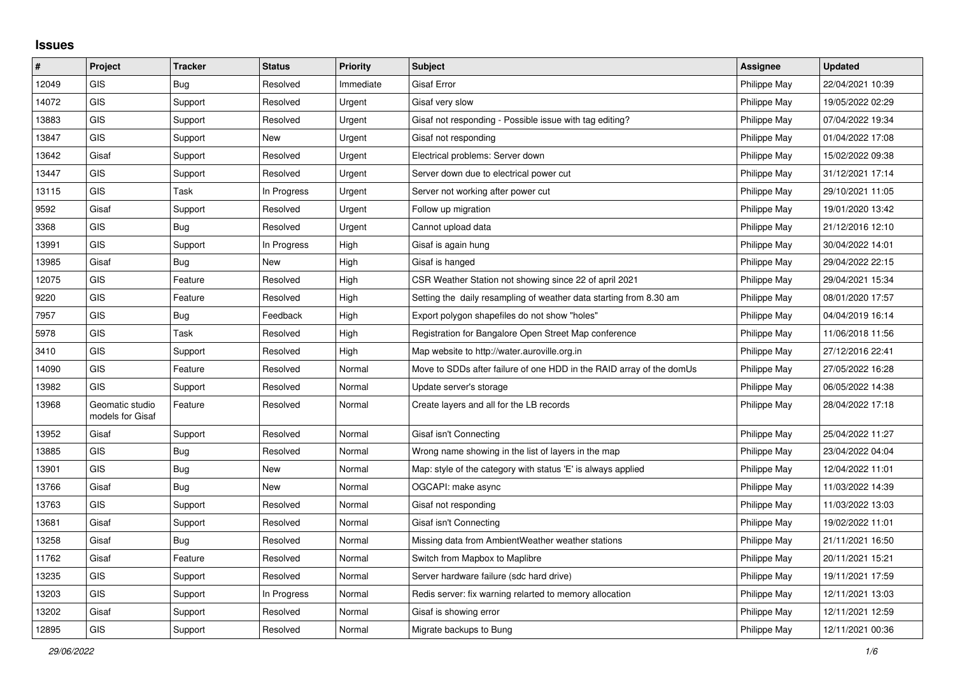## **Issues**

| #     | Project                             | <b>Tracker</b> | <b>Status</b> | <b>Priority</b> | <b>Subject</b>                                                       | <b>Assignee</b> | <b>Updated</b>   |
|-------|-------------------------------------|----------------|---------------|-----------------|----------------------------------------------------------------------|-----------------|------------------|
| 12049 | <b>GIS</b>                          | Bug            | Resolved      | Immediate       | <b>Gisaf Error</b>                                                   | Philippe May    | 22/04/2021 10:39 |
| 14072 | <b>GIS</b>                          | Support        | Resolved      | Urgent          | Gisaf very slow                                                      | Philippe May    | 19/05/2022 02:29 |
| 13883 | <b>GIS</b>                          | Support        | Resolved      | Urgent          | Gisaf not responding - Possible issue with tag editing?              | Philippe May    | 07/04/2022 19:34 |
| 13847 | <b>GIS</b>                          | Support        | New           | Urgent          | Gisaf not responding                                                 | Philippe May    | 01/04/2022 17:08 |
| 13642 | Gisaf                               | Support        | Resolved      | Urgent          | Electrical problems: Server down                                     | Philippe May    | 15/02/2022 09:38 |
| 13447 | <b>GIS</b>                          | Support        | Resolved      | Urgent          | Server down due to electrical power cut                              | Philippe May    | 31/12/2021 17:14 |
| 13115 | <b>GIS</b>                          | Task           | In Progress   | Urgent          | Server not working after power cut                                   | Philippe May    | 29/10/2021 11:05 |
| 9592  | Gisaf                               | Support        | Resolved      | Urgent          | Follow up migration                                                  | Philippe May    | 19/01/2020 13:42 |
| 3368  | GIS                                 | <b>Bug</b>     | Resolved      | Urgent          | Cannot upload data                                                   | Philippe May    | 21/12/2016 12:10 |
| 13991 | <b>GIS</b>                          | Support        | In Progress   | High            | Gisaf is again hung                                                  | Philippe May    | 30/04/2022 14:01 |
| 13985 | Gisaf                               | <b>Bug</b>     | <b>New</b>    | High            | Gisaf is hanged                                                      | Philippe May    | 29/04/2022 22:15 |
| 12075 | <b>GIS</b>                          | Feature        | Resolved      | High            | CSR Weather Station not showing since 22 of april 2021               | Philippe May    | 29/04/2021 15:34 |
| 9220  | <b>GIS</b>                          | Feature        | Resolved      | High            | Setting the daily resampling of weather data starting from 8.30 am   | Philippe May    | 08/01/2020 17:57 |
| 7957  | <b>GIS</b>                          | Bug            | Feedback      | High            | Export polygon shapefiles do not show "holes"                        | Philippe May    | 04/04/2019 16:14 |
| 5978  | <b>GIS</b>                          | Task           | Resolved      | High            | Registration for Bangalore Open Street Map conference                | Philippe May    | 11/06/2018 11:56 |
| 3410  | <b>GIS</b>                          | Support        | Resolved      | High            | Map website to http://water.auroville.org.in                         | Philippe May    | 27/12/2016 22:41 |
| 14090 | <b>GIS</b>                          | Feature        | Resolved      | Normal          | Move to SDDs after failure of one HDD in the RAID array of the domUs | Philippe May    | 27/05/2022 16:28 |
| 13982 | <b>GIS</b>                          | Support        | Resolved      | Normal          | Update server's storage                                              | Philippe May    | 06/05/2022 14:38 |
| 13968 | Geomatic studio<br>models for Gisaf | Feature        | Resolved      | Normal          | Create layers and all for the LB records                             | Philippe May    | 28/04/2022 17:18 |
| 13952 | Gisaf                               | Support        | Resolved      | Normal          | Gisaf isn't Connecting                                               | Philippe May    | 25/04/2022 11:27 |
| 13885 | <b>GIS</b>                          | <b>Bug</b>     | Resolved      | Normal          | Wrong name showing in the list of layers in the map                  | Philippe May    | 23/04/2022 04:04 |
| 13901 | <b>GIS</b>                          | <b>Bug</b>     | New           | Normal          | Map: style of the category with status 'E' is always applied         | Philippe May    | 12/04/2022 11:01 |
| 13766 | Gisaf                               | <b>Bug</b>     | New           | Normal          | OGCAPI: make async                                                   | Philippe May    | 11/03/2022 14:39 |
| 13763 | GIS                                 | Support        | Resolved      | Normal          | Gisaf not responding                                                 | Philippe May    | 11/03/2022 13:03 |
| 13681 | Gisaf                               | Support        | Resolved      | Normal          | Gisaf isn't Connecting                                               | Philippe May    | 19/02/2022 11:01 |
| 13258 | Gisaf                               | <b>Bug</b>     | Resolved      | Normal          | Missing data from AmbientWeather weather stations                    | Philippe May    | 21/11/2021 16:50 |
| 11762 | Gisaf                               | Feature        | Resolved      | Normal          | Switch from Mapbox to Maplibre                                       | Philippe May    | 20/11/2021 15:21 |
| 13235 | <b>GIS</b>                          | Support        | Resolved      | Normal          | Server hardware failure (sdc hard drive)                             | Philippe May    | 19/11/2021 17:59 |
| 13203 | <b>GIS</b>                          | Support        | In Progress   | Normal          | Redis server: fix warning relarted to memory allocation              | Philippe May    | 12/11/2021 13:03 |
| 13202 | Gisaf                               | Support        | Resolved      | Normal          | Gisaf is showing error                                               | Philippe May    | 12/11/2021 12:59 |
| 12895 | GIS                                 | Support        | Resolved      | Normal          | Migrate backups to Bung                                              | Philippe May    | 12/11/2021 00:36 |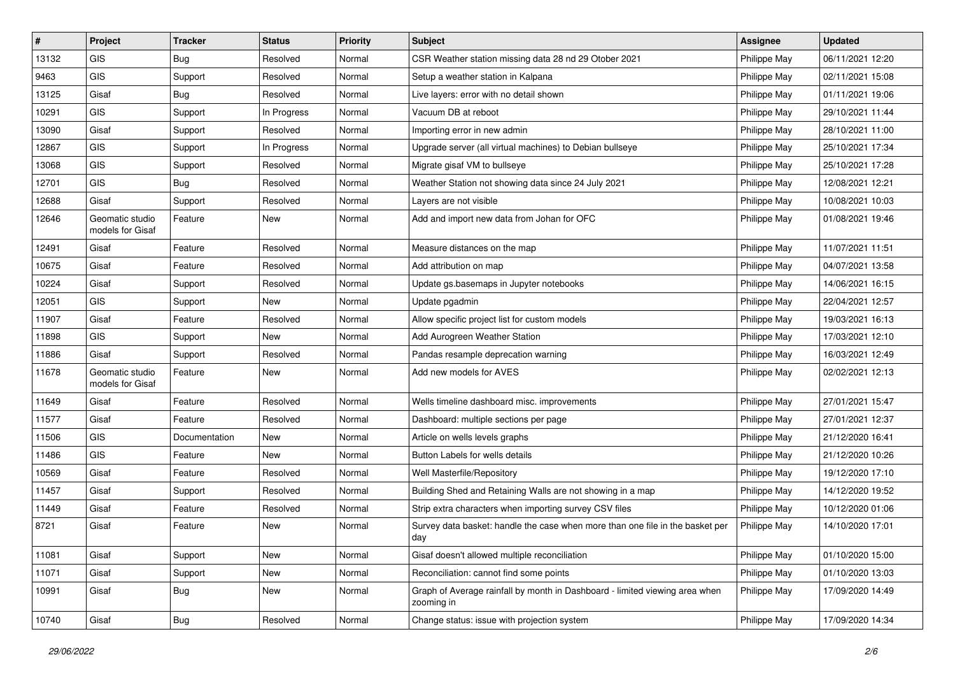| #     | Project                             | <b>Tracker</b> | <b>Status</b> | Priority | <b>Subject</b>                                                                            | <b>Assignee</b> | <b>Updated</b>   |
|-------|-------------------------------------|----------------|---------------|----------|-------------------------------------------------------------------------------------------|-----------------|------------------|
| 13132 | <b>GIS</b>                          | <b>Bug</b>     | Resolved      | Normal   | CSR Weather station missing data 28 nd 29 Otober 2021                                     | Philippe May    | 06/11/2021 12:20 |
| 9463  | GIS                                 | Support        | Resolved      | Normal   | Setup a weather station in Kalpana                                                        | Philippe May    | 02/11/2021 15:08 |
| 13125 | Gisaf                               | Bug            | Resolved      | Normal   | Live layers: error with no detail shown                                                   | Philippe May    | 01/11/2021 19:06 |
| 10291 | GIS                                 | Support        | In Progress   | Normal   | Vacuum DB at reboot                                                                       | Philippe May    | 29/10/2021 11:44 |
| 13090 | Gisaf                               | Support        | Resolved      | Normal   | Importing error in new admin                                                              | Philippe May    | 28/10/2021 11:00 |
| 12867 | <b>GIS</b>                          | Support        | In Progress   | Normal   | Upgrade server (all virtual machines) to Debian bullseye                                  | Philippe May    | 25/10/2021 17:34 |
| 13068 | GIS                                 | Support        | Resolved      | Normal   | Migrate gisaf VM to bullseye                                                              | Philippe May    | 25/10/2021 17:28 |
| 12701 | GIS                                 | Bug            | Resolved      | Normal   | Weather Station not showing data since 24 July 2021                                       | Philippe May    | 12/08/2021 12:21 |
| 12688 | Gisaf                               | Support        | Resolved      | Normal   | Layers are not visible                                                                    | Philippe May    | 10/08/2021 10:03 |
| 12646 | Geomatic studio<br>models for Gisaf | Feature        | New           | Normal   | Add and import new data from Johan for OFC                                                | Philippe May    | 01/08/2021 19:46 |
| 12491 | Gisaf                               | Feature        | Resolved      | Normal   | Measure distances on the map                                                              | Philippe May    | 11/07/2021 11:51 |
| 10675 | Gisaf                               | Feature        | Resolved      | Normal   | Add attribution on map                                                                    | Philippe May    | 04/07/2021 13:58 |
| 10224 | Gisaf                               | Support        | Resolved      | Normal   | Update gs.basemaps in Jupyter notebooks                                                   | Philippe May    | 14/06/2021 16:15 |
| 12051 | GIS                                 | Support        | New           | Normal   | Update pgadmin                                                                            | Philippe May    | 22/04/2021 12:57 |
| 11907 | Gisaf                               | Feature        | Resolved      | Normal   | Allow specific project list for custom models                                             | Philippe May    | 19/03/2021 16:13 |
| 11898 | <b>GIS</b>                          | Support        | <b>New</b>    | Normal   | Add Aurogreen Weather Station                                                             | Philippe May    | 17/03/2021 12:10 |
| 11886 | Gisaf                               | Support        | Resolved      | Normal   | Pandas resample deprecation warning                                                       | Philippe May    | 16/03/2021 12:49 |
| 11678 | Geomatic studio<br>models for Gisaf | Feature        | New           | Normal   | Add new models for AVES                                                                   | Philippe May    | 02/02/2021 12:13 |
| 11649 | Gisaf                               | Feature        | Resolved      | Normal   | Wells timeline dashboard misc. improvements                                               | Philippe May    | 27/01/2021 15:47 |
| 11577 | Gisaf                               | Feature        | Resolved      | Normal   | Dashboard: multiple sections per page                                                     | Philippe May    | 27/01/2021 12:37 |
| 11506 | GIS                                 | Documentation  | <b>New</b>    | Normal   | Article on wells levels graphs                                                            | Philippe May    | 21/12/2020 16:41 |
| 11486 | GIS                                 | Feature        | New           | Normal   | Button Labels for wells details                                                           | Philippe May    | 21/12/2020 10:26 |
| 10569 | Gisaf                               | Feature        | Resolved      | Normal   | Well Masterfile/Repository                                                                | Philippe May    | 19/12/2020 17:10 |
| 11457 | Gisaf                               | Support        | Resolved      | Normal   | Building Shed and Retaining Walls are not showing in a map                                | Philippe May    | 14/12/2020 19:52 |
| 11449 | Gisaf                               | Feature        | Resolved      | Normal   | Strip extra characters when importing survey CSV files                                    | Philippe May    | 10/12/2020 01:06 |
| 8721  | Gisaf                               | Feature        | New           | Normal   | Survey data basket: handle the case when more than one file in the basket per<br>day      | Philippe May    | 14/10/2020 17:01 |
| 11081 | Gisaf                               | Support        | New           | Normal   | Gisaf doesn't allowed multiple reconciliation                                             | Philippe May    | 01/10/2020 15:00 |
| 11071 | Gisaf                               | Support        | New           | Normal   | Reconciliation: cannot find some points                                                   | Philippe May    | 01/10/2020 13:03 |
| 10991 | Gisaf                               | <b>Bug</b>     | New           | Normal   | Graph of Average rainfall by month in Dashboard - limited viewing area when<br>zooming in | Philippe May    | 17/09/2020 14:49 |
| 10740 | Gisaf                               | Bug            | Resolved      | Normal   | Change status: issue with projection system                                               | Philippe May    | 17/09/2020 14:34 |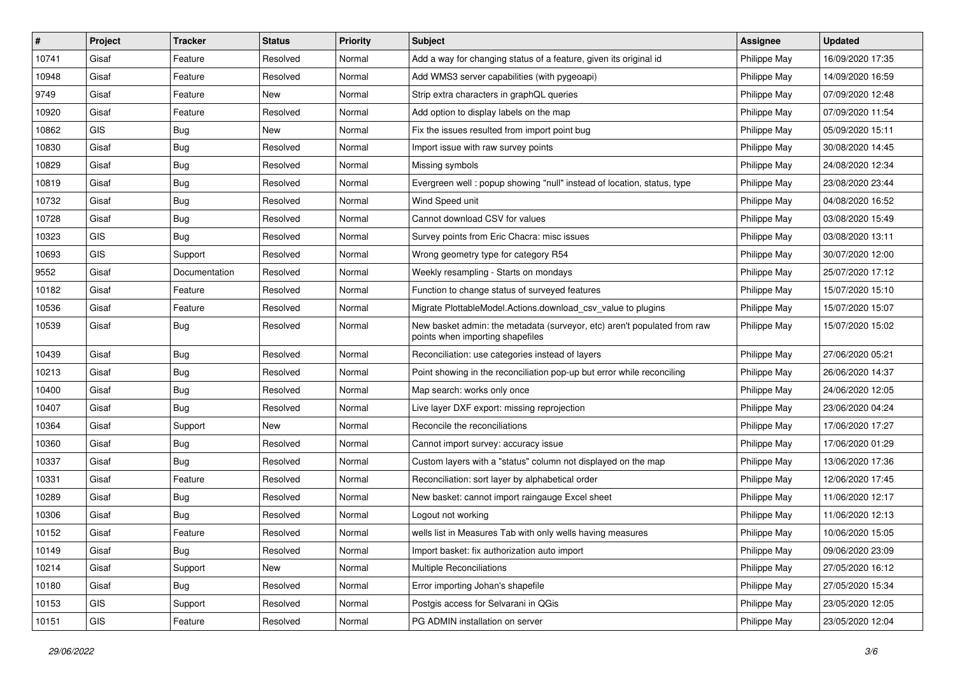| #     | Project | <b>Tracker</b> | <b>Status</b> | <b>Priority</b> | <b>Subject</b>                                                                                               | <b>Assignee</b> | <b>Updated</b>   |
|-------|---------|----------------|---------------|-----------------|--------------------------------------------------------------------------------------------------------------|-----------------|------------------|
| 10741 | Gisaf   | Feature        | Resolved      | Normal          | Add a way for changing status of a feature, given its original id                                            | Philippe May    | 16/09/2020 17:35 |
| 10948 | Gisaf   | Feature        | Resolved      | Normal          | Add WMS3 server capabilities (with pygeoapi)                                                                 | Philippe May    | 14/09/2020 16:59 |
| 9749  | Gisaf   | Feature        | New           | Normal          | Strip extra characters in graphQL queries                                                                    | Philippe May    | 07/09/2020 12:48 |
| 10920 | Gisaf   | Feature        | Resolved      | Normal          | Add option to display labels on the map                                                                      | Philippe May    | 07/09/2020 11:54 |
| 10862 | GIS     | Bug            | New           | Normal          | Fix the issues resulted from import point bug                                                                | Philippe May    | 05/09/2020 15:11 |
| 10830 | Gisaf   | <b>Bug</b>     | Resolved      | Normal          | Import issue with raw survey points                                                                          | Philippe May    | 30/08/2020 14:45 |
| 10829 | Gisaf   | <b>Bug</b>     | Resolved      | Normal          | Missing symbols                                                                                              | Philippe May    | 24/08/2020 12:34 |
| 10819 | Gisaf   | <b>Bug</b>     | Resolved      | Normal          | Evergreen well: popup showing "null" instead of location, status, type                                       | Philippe May    | 23/08/2020 23:44 |
| 10732 | Gisaf   | <b>Bug</b>     | Resolved      | Normal          | Wind Speed unit                                                                                              | Philippe May    | 04/08/2020 16:52 |
| 10728 | Gisaf   | Bug            | Resolved      | Normal          | Cannot download CSV for values                                                                               | Philippe May    | 03/08/2020 15:49 |
| 10323 | GIS     | Bug            | Resolved      | Normal          | Survey points from Eric Chacra: misc issues                                                                  | Philippe May    | 03/08/2020 13:11 |
| 10693 | GIS     | Support        | Resolved      | Normal          | Wrong geometry type for category R54                                                                         | Philippe May    | 30/07/2020 12:00 |
| 9552  | Gisaf   | Documentation  | Resolved      | Normal          | Weekly resampling - Starts on mondays                                                                        | Philippe May    | 25/07/2020 17:12 |
| 10182 | Gisaf   | Feature        | Resolved      | Normal          | Function to change status of surveyed features                                                               | Philippe May    | 15/07/2020 15:10 |
| 10536 | Gisaf   | Feature        | Resolved      | Normal          | Migrate PlottableModel.Actions.download csv value to plugins                                                 | Philippe May    | 15/07/2020 15:07 |
| 10539 | Gisaf   | Bug            | Resolved      | Normal          | New basket admin: the metadata (surveyor, etc) aren't populated from raw<br>points when importing shapefiles | Philippe May    | 15/07/2020 15:02 |
| 10439 | Gisaf   | Bug            | Resolved      | Normal          | Reconciliation: use categories instead of layers                                                             | Philippe May    | 27/06/2020 05:21 |
| 10213 | Gisaf   | <b>Bug</b>     | Resolved      | Normal          | Point showing in the reconciliation pop-up but error while reconciling                                       | Philippe May    | 26/06/2020 14:37 |
| 10400 | Gisaf   | Bug            | Resolved      | Normal          | Map search: works only once                                                                                  | Philippe May    | 24/06/2020 12:05 |
| 10407 | Gisaf   | <b>Bug</b>     | Resolved      | Normal          | Live layer DXF export: missing reprojection                                                                  | Philippe May    | 23/06/2020 04:24 |
| 10364 | Gisaf   | Support        | New           | Normal          | Reconcile the reconciliations                                                                                | Philippe May    | 17/06/2020 17:27 |
| 10360 | Gisaf   | Bug            | Resolved      | Normal          | Cannot import survey: accuracy issue                                                                         | Philippe May    | 17/06/2020 01:29 |
| 10337 | Gisaf   | <b>Bug</b>     | Resolved      | Normal          | Custom layers with a "status" column not displayed on the map                                                | Philippe May    | 13/06/2020 17:36 |
| 10331 | Gisaf   | Feature        | Resolved      | Normal          | Reconciliation: sort layer by alphabetical order                                                             | Philippe May    | 12/06/2020 17:45 |
| 10289 | Gisaf   | Bug            | Resolved      | Normal          | New basket: cannot import raingauge Excel sheet                                                              | Philippe May    | 11/06/2020 12:17 |
| 10306 | Gisaf   | Bug            | Resolved      | Normal          | Logout not working                                                                                           | Philippe May    | 11/06/2020 12:13 |
| 10152 | Gisaf   | Feature        | Resolved      | Normal          | wells list in Measures Tab with only wells having measures                                                   | Philippe May    | 10/06/2020 15:05 |
| 10149 | Gisaf   | Bug            | Resolved      | Normal          | Import basket: fix authorization auto import                                                                 | Philippe May    | 09/06/2020 23:09 |
| 10214 | Gisaf   | Support        | New           | Normal          | Multiple Reconciliations                                                                                     | Philippe May    | 27/05/2020 16:12 |
| 10180 | Gisaf   | <b>Bug</b>     | Resolved      | Normal          | Error importing Johan's shapefile                                                                            | Philippe May    | 27/05/2020 15:34 |
| 10153 | GIS     | Support        | Resolved      | Normal          | Postgis access for Selvarani in QGis                                                                         | Philippe May    | 23/05/2020 12:05 |
| 10151 | GIS     | Feature        | Resolved      | Normal          | PG ADMIN installation on server                                                                              | Philippe May    | 23/05/2020 12:04 |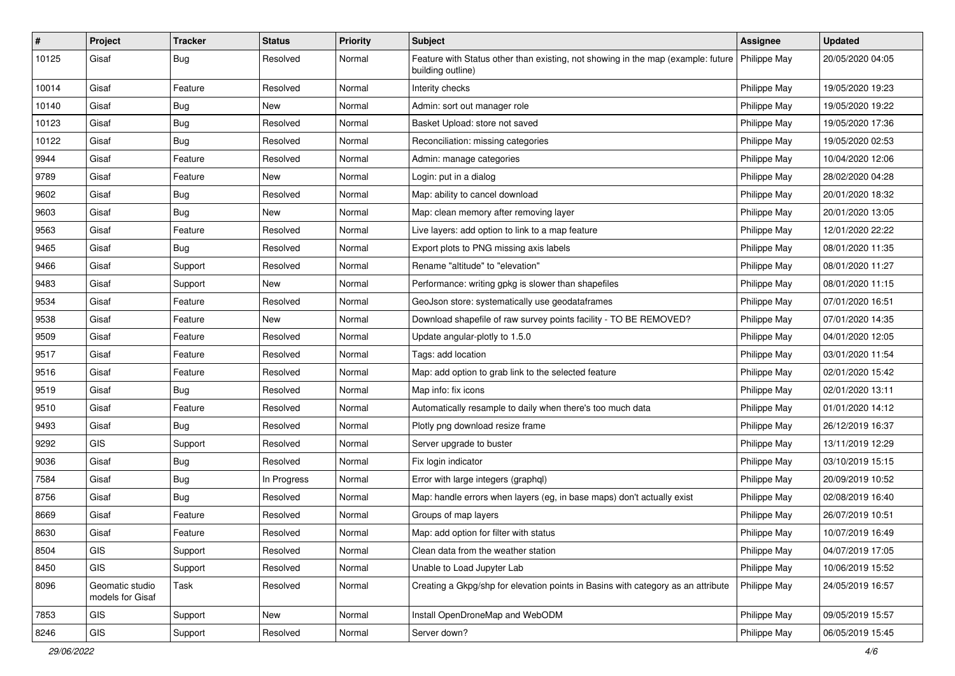| #     | Project                             | <b>Tracker</b> | <b>Status</b> | Priority | <b>Subject</b>                                                                                        | <b>Assignee</b> | <b>Updated</b>   |
|-------|-------------------------------------|----------------|---------------|----------|-------------------------------------------------------------------------------------------------------|-----------------|------------------|
| 10125 | Gisaf                               | <b>Bug</b>     | Resolved      | Normal   | Feature with Status other than existing, not showing in the map (example: future<br>building outline) | Philippe May    | 20/05/2020 04:05 |
| 10014 | Gisaf                               | Feature        | Resolved      | Normal   | Interity checks                                                                                       | Philippe May    | 19/05/2020 19:23 |
| 10140 | Gisaf                               | <b>Bug</b>     | New           | Normal   | Admin: sort out manager role                                                                          | Philippe May    | 19/05/2020 19:22 |
| 10123 | Gisaf                               | Bug            | Resolved      | Normal   | Basket Upload: store not saved                                                                        | Philippe May    | 19/05/2020 17:36 |
| 10122 | Gisaf                               | <b>Bug</b>     | Resolved      | Normal   | Reconciliation: missing categories                                                                    | Philippe May    | 19/05/2020 02:53 |
| 9944  | Gisaf                               | Feature        | Resolved      | Normal   | Admin: manage categories                                                                              | Philippe May    | 10/04/2020 12:06 |
| 9789  | Gisaf                               | Feature        | New           | Normal   | Login: put in a dialog                                                                                | Philippe May    | 28/02/2020 04:28 |
| 9602  | Gisaf                               | <b>Bug</b>     | Resolved      | Normal   | Map: ability to cancel download                                                                       | Philippe May    | 20/01/2020 18:32 |
| 9603  | Gisaf                               | Bug            | New           | Normal   | Map: clean memory after removing layer                                                                | Philippe May    | 20/01/2020 13:05 |
| 9563  | Gisaf                               | Feature        | Resolved      | Normal   | Live layers: add option to link to a map feature                                                      | Philippe May    | 12/01/2020 22:22 |
| 9465  | Gisaf                               | <b>Bug</b>     | Resolved      | Normal   | Export plots to PNG missing axis labels                                                               | Philippe May    | 08/01/2020 11:35 |
| 9466  | Gisaf                               | Support        | Resolved      | Normal   | Rename "altitude" to "elevation"                                                                      | Philippe May    | 08/01/2020 11:27 |
| 9483  | Gisaf                               | Support        | New           | Normal   | Performance: writing gpkg is slower than shapefiles                                                   | Philippe May    | 08/01/2020 11:15 |
| 9534  | Gisaf                               | Feature        | Resolved      | Normal   | GeoJson store: systematically use geodataframes                                                       | Philippe May    | 07/01/2020 16:51 |
| 9538  | Gisaf                               | Feature        | New           | Normal   | Download shapefile of raw survey points facility - TO BE REMOVED?                                     | Philippe May    | 07/01/2020 14:35 |
| 9509  | Gisaf                               | Feature        | Resolved      | Normal   | Update angular-plotly to 1.5.0                                                                        | Philippe May    | 04/01/2020 12:05 |
| 9517  | Gisaf                               | Feature        | Resolved      | Normal   | Tags: add location                                                                                    | Philippe May    | 03/01/2020 11:54 |
| 9516  | Gisaf                               | Feature        | Resolved      | Normal   | Map: add option to grab link to the selected feature                                                  | Philippe May    | 02/01/2020 15:42 |
| 9519  | Gisaf                               | <b>Bug</b>     | Resolved      | Normal   | Map info: fix icons                                                                                   | Philippe May    | 02/01/2020 13:11 |
| 9510  | Gisaf                               | Feature        | Resolved      | Normal   | Automatically resample to daily when there's too much data                                            | Philippe May    | 01/01/2020 14:12 |
| 9493  | Gisaf                               | <b>Bug</b>     | Resolved      | Normal   | Plotly png download resize frame                                                                      | Philippe May    | 26/12/2019 16:37 |
| 9292  | GIS                                 | Support        | Resolved      | Normal   | Server upgrade to buster                                                                              | Philippe May    | 13/11/2019 12:29 |
| 9036  | Gisaf                               | <b>Bug</b>     | Resolved      | Normal   | Fix login indicator                                                                                   | Philippe May    | 03/10/2019 15:15 |
| 7584  | Gisaf                               | <b>Bug</b>     | In Progress   | Normal   | Error with large integers (graphql)                                                                   | Philippe May    | 20/09/2019 10:52 |
| 8756  | Gisaf                               | Bug            | Resolved      | Normal   | Map: handle errors when layers (eg, in base maps) don't actually exist                                | Philippe May    | 02/08/2019 16:40 |
| 8669  | Gisaf                               | Feature        | Resolved      | Normal   | Groups of map layers                                                                                  | Philippe May    | 26/07/2019 10:51 |
| 8630  | Gisaf                               | Feature        | Resolved      | Normal   | Map: add option for filter with status                                                                | Philippe May    | 10/07/2019 16:49 |
| 8504  | GIS                                 | Support        | Resolved      | Normal   | Clean data from the weather station                                                                   | Philippe May    | 04/07/2019 17:05 |
| 8450  | GIS                                 | Support        | Resolved      | Normal   | Unable to Load Jupyter Lab                                                                            | Philippe May    | 10/06/2019 15:52 |
| 8096  | Geomatic studio<br>models for Gisaf | Task           | Resolved      | Normal   | Creating a Gkpg/shp for elevation points in Basins with category as an attribute                      | Philippe May    | 24/05/2019 16:57 |
| 7853  | GIS                                 | Support        | New           | Normal   | Install OpenDroneMap and WebODM                                                                       | Philippe May    | 09/05/2019 15:57 |
| 8246  | GIS                                 | Support        | Resolved      | Normal   | Server down?                                                                                          | Philippe May    | 06/05/2019 15:45 |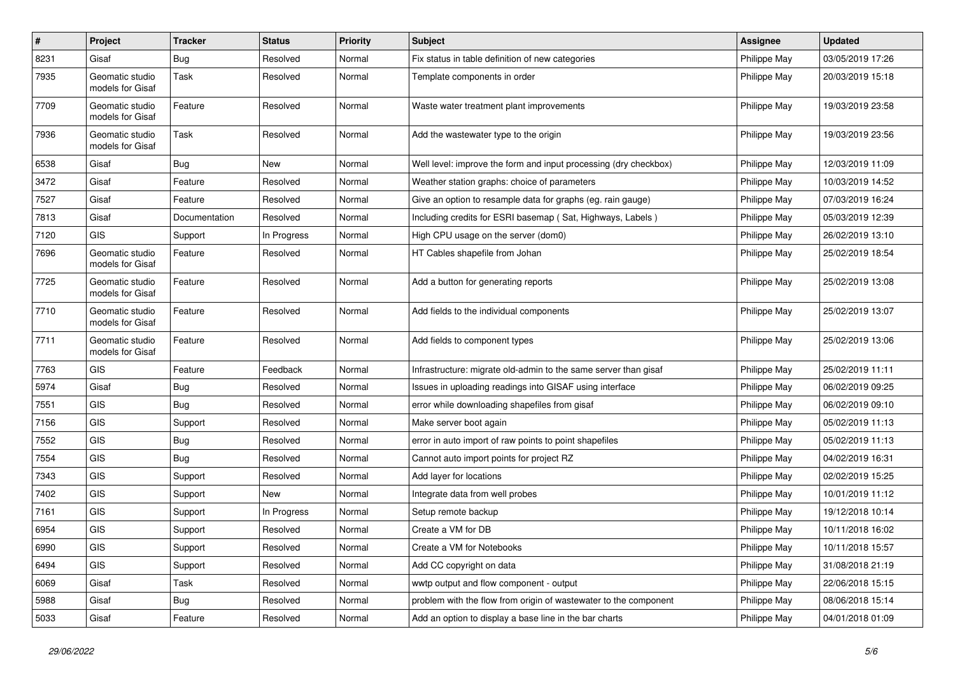| $\sharp$ | Project                             | <b>Tracker</b> | <b>Status</b> | <b>Priority</b> | <b>Subject</b>                                                   | <b>Assignee</b> | <b>Updated</b>   |
|----------|-------------------------------------|----------------|---------------|-----------------|------------------------------------------------------------------|-----------------|------------------|
| 8231     | Gisaf                               | <b>Bug</b>     | Resolved      | Normal          | Fix status in table definition of new categories                 | Philippe May    | 03/05/2019 17:26 |
| 7935     | Geomatic studio<br>models for Gisaf | Task           | Resolved      | Normal          | Template components in order                                     | Philippe May    | 20/03/2019 15:18 |
| 7709     | Geomatic studio<br>models for Gisaf | Feature        | Resolved      | Normal          | Waste water treatment plant improvements                         | Philippe May    | 19/03/2019 23:58 |
| 7936     | Geomatic studio<br>models for Gisaf | Task           | Resolved      | Normal          | Add the wastewater type to the origin                            | Philippe May    | 19/03/2019 23:56 |
| 6538     | Gisaf                               | Bug            | <b>New</b>    | Normal          | Well level: improve the form and input processing (dry checkbox) | Philippe May    | 12/03/2019 11:09 |
| 3472     | Gisaf                               | Feature        | Resolved      | Normal          | Weather station graphs: choice of parameters                     | Philippe May    | 10/03/2019 14:52 |
| 7527     | Gisaf                               | Feature        | Resolved      | Normal          | Give an option to resample data for graphs (eg. rain gauge)      | Philippe May    | 07/03/2019 16:24 |
| 7813     | Gisaf                               | Documentation  | Resolved      | Normal          | Including credits for ESRI basemap (Sat, Highways, Labels)       | Philippe May    | 05/03/2019 12:39 |
| 7120     | GIS                                 | Support        | In Progress   | Normal          | High CPU usage on the server (dom0)                              | Philippe May    | 26/02/2019 13:10 |
| 7696     | Geomatic studio<br>models for Gisaf | Feature        | Resolved      | Normal          | HT Cables shapefile from Johan                                   | Philippe May    | 25/02/2019 18:54 |
| 7725     | Geomatic studio<br>models for Gisaf | Feature        | Resolved      | Normal          | Add a button for generating reports                              | Philippe May    | 25/02/2019 13:08 |
| 7710     | Geomatic studio<br>models for Gisaf | Feature        | Resolved      | Normal          | Add fields to the individual components                          | Philippe May    | 25/02/2019 13:07 |
| 7711     | Geomatic studio<br>models for Gisaf | Feature        | Resolved      | Normal          | Add fields to component types                                    | Philippe May    | 25/02/2019 13:06 |
| 7763     | GIS                                 | Feature        | Feedback      | Normal          | Infrastructure: migrate old-admin to the same server than gisaf  | Philippe May    | 25/02/2019 11:11 |
| 5974     | Gisaf                               | <b>Bug</b>     | Resolved      | Normal          | Issues in uploading readings into GISAF using interface          | Philippe May    | 06/02/2019 09:25 |
| 7551     | GIS                                 | <b>Bug</b>     | Resolved      | Normal          | error while downloading shapefiles from gisaf                    | Philippe May    | 06/02/2019 09:10 |
| 7156     | GIS                                 | Support        | Resolved      | Normal          | Make server boot again                                           | Philippe May    | 05/02/2019 11:13 |
| 7552     | GIS                                 | <b>Bug</b>     | Resolved      | Normal          | error in auto import of raw points to point shapefiles           | Philippe May    | 05/02/2019 11:13 |
| 7554     | <b>GIS</b>                          | Bug            | Resolved      | Normal          | Cannot auto import points for project RZ                         | Philippe May    | 04/02/2019 16:31 |
| 7343     | <b>GIS</b>                          | Support        | Resolved      | Normal          | Add layer for locations                                          | Philippe May    | 02/02/2019 15:25 |
| 7402     | GIS                                 | Support        | <b>New</b>    | Normal          | Integrate data from well probes                                  | Philippe May    | 10/01/2019 11:12 |
| 7161     | GIS                                 | Support        | In Progress   | Normal          | Setup remote backup                                              | Philippe May    | 19/12/2018 10:14 |
| 6954     | <b>GIS</b>                          | Support        | Resolved      | Normal          | Create a VM for DB                                               | Philippe May    | 10/11/2018 16:02 |
| 6990     | GIS                                 | Support        | Resolved      | Normal          | Create a VM for Notebooks                                        | Philippe May    | 10/11/2018 15:57 |
| 6494     | <b>GIS</b>                          | Support        | Resolved      | Normal          | Add CC copyright on data                                         | Philippe May    | 31/08/2018 21:19 |
| 6069     | Gisaf                               | Task           | Resolved      | Normal          | wwtp output and flow component - output                          | Philippe May    | 22/06/2018 15:15 |
| 5988     | Gisaf                               | <b>Bug</b>     | Resolved      | Normal          | problem with the flow from origin of wastewater to the component | Philippe May    | 08/06/2018 15:14 |
| 5033     | Gisaf                               | Feature        | Resolved      | Normal          | Add an option to display a base line in the bar charts           | Philippe May    | 04/01/2018 01:09 |